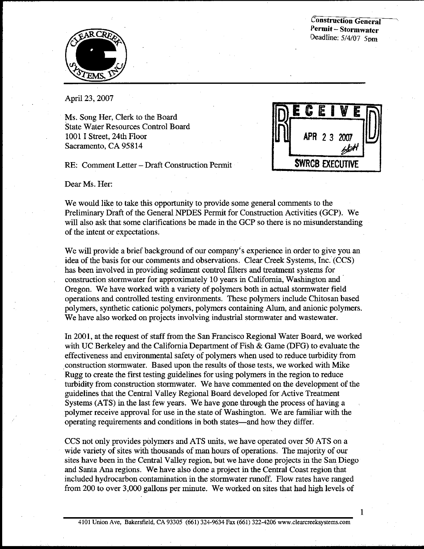**Construction General** Permit-Stormwater Deadline: 5/4/07 5pm



April 23, 2007

Ms. Song Her, Clerk to the Board **State Water Resources Control Board** 1001 I Street. 24th Floor Sacramento, CA 95814

RE: Comment Letter - Draft Construction Permit

Dear Ms. Her:

APR 2 3 2007 **SWRCB EXECUTIVE** 

 $\mathbf{1}$ 

We would like to take this opportunity to provide some general comments to the Preliminary Draft of the General NPDES Permit for Construction Activities (GCP). We will also ask that some clarifications be made in the GCP so there is no misunderstanding of the intent or expectations.

We will provide a brief background of our company's experience in order to give you an idea of the basis for our comments and observations. Clear Creek Systems, Inc. (CCS) has been involved in providing sediment control filters and treatment systems for construction stormwater for approximately 10 years in California, Washington and Oregon. We have worked with a variety of polymers both in actual stormwater field operations and controlled testing environments. These polymers include Chitosan based polymers, synthetic cationic polymers, polymers containing Alum, and anionic polymers. We have also worked on projects involving industrial stormwater and wastewater.

In 2001, at the request of staff from the San Francisco Regional Water Board, we worked with UC Berkeley and the California Department of Fish & Game (DFG) to evaluate the effectiveness and environmental safety of polymers when used to reduce turbidity from construction stormwater. Based upon the results of those tests, we worked with Mike Rugg to create the first testing guidelines for using polymers in the region to reduce turbidity from construction stormwater. We have commented on the development of the guidelines that the Central Valley Regional Board developed for Active Treatment Systems (ATS) in the last few years. We have gone through the process of having a polymer receive approval for use in the state of Washington. We are familiar with the operating requirements and conditions in both states—and how they differ.

CCS not only provides polymers and ATS units, we have operated over 50 ATS on a wide variety of sites with thousands of man hours of operations. The majority of our sites have been in the Central Valley region, but we have done projects in the San Diego and Santa Ana regions. We have also done a project in the Central Coast region that included hydrocarbon contamination in the stormwater runoff. Flow rates have ranged from 200 to over 3,000 gallons per minute. We worked on sites that had high levels of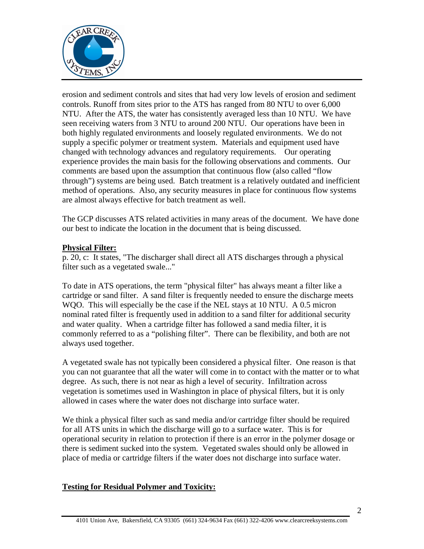

erosion and sediment controls and sites that had very low levels of erosion and sediment controls. Runoff from sites prior to the ATS has ranged from 80 NTU to over 6,000 NTU. After the ATS, the water has consistently averaged less than 10 NTU. We have seen receiving waters from 3 NTU to around 200 NTU. Our operations have been in both highly regulated environments and loosely regulated environments. We do not supply a specific polymer or treatment system. Materials and equipment used have changed with technology advances and regulatory requirements. Our operating experience provides the main basis for the following observations and comments. Our comments are based upon the assumption that continuous flow (also called "flow through") systems are being used. Batch treatment is a relatively outdated and inefficient method of operations. Also, any security measures in place for continuous flow systems are almost always effective for batch treatment as well.

The GCP discusses ATS related activities in many areas of the document. We have done our best to indicate the location in the document that is being discussed.

#### **Physical Filter:**

p. 20, c: It states, "The discharger shall direct all ATS discharges through a physical filter such as a vegetated swale..."

To date in ATS operations, the term "physical filter" has always meant a filter like a cartridge or sand filter. A sand filter is frequently needed to ensure the discharge meets WQO. This will especially be the case if the NEL stays at 10 NTU. A 0.5 micron nominal rated filter is frequently used in addition to a sand filter for additional security and water quality. When a cartridge filter has followed a sand media filter, it is commonly referred to as a "polishing filter". There can be flexibility, and both are not always used together.

A vegetated swale has not typically been considered a physical filter. One reason is that you can not guarantee that all the water will come in to contact with the matter or to what degree. As such, there is not near as high a level of security. Infiltration across vegetation is sometimes used in Washington in place of physical filters, but it is only allowed in cases where the water does not discharge into surface water.

We think a physical filter such as sand media and/or cartridge filter should be required for all ATS units in which the discharge will go to a surface water. This is for operational security in relation to protection if there is an error in the polymer dosage or there is sediment sucked into the system. Vegetated swales should only be allowed in place of media or cartridge filters if the water does not discharge into surface water.

#### **Testing for Residual Polymer and Toxicity:**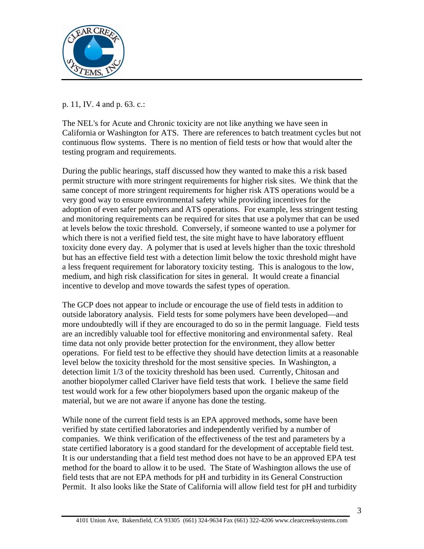

### p. 11, IV. 4 and p. 63. c.:

The NEL's for Acute and Chronic toxicity are not like anything we have seen in California or Washington for ATS. There are references to batch treatment cycles but not continuous flow systems. There is no mention of field tests or how that would alter the testing program and requirements.

During the public hearings, staff discussed how they wanted to make this a risk based permit structure with more stringent requirements for higher risk sites. We think that the same concept of more stringent requirements for higher risk ATS operations would be a very good way to ensure environmental safety while providing incentives for the adoption of even safer polymers and ATS operations. For example, less stringent testing and monitoring requirements can be required for sites that use a polymer that can be used at levels below the toxic threshold. Conversely, if someone wanted to use a polymer for which there is not a verified field test, the site might have to have laboratory effluent toxicity done every day. A polymer that is used at levels higher than the toxic threshold but has an effective field test with a detection limit below the toxic threshold might have a less frequent requirement for laboratory toxicity testing. This is analogous to the low, medium, and high risk classification for sites in general. It would create a financial incentive to develop and move towards the safest types of operation.

The GCP does not appear to include or encourage the use of field tests in addition to outside laboratory analysis. Field tests for some polymers have been developed—and more undoubtedly will if they are encouraged to do so in the permit language. Field tests are an incredibly valuable tool for effective monitoring and environmental safety. Real time data not only provide better protection for the environment, they allow better operations. For field test to be effective they should have detection limits at a reasonable level below the toxicity threshold for the most sensitive species. In Washington, a detection limit 1/3 of the toxicity threshold has been used. Currently, Chitosan and another biopolymer called Clariver have field tests that work. I believe the same field test would work for a few other biopolymers based upon the organic makeup of the material, but we are not aware if anyone has done the testing.

While none of the current field tests is an EPA approved methods, some have been verified by state certified laboratories and independently verified by a number of companies. We think verification of the effectiveness of the test and parameters by a state certified laboratory is a good standard for the development of acceptable field test. It is our understanding that a field test method does not have to be an approved EPA test method for the board to allow it to be used. The State of Washington allows the use of field tests that are not EPA methods for pH and turbidity in its General Construction Permit. It also looks like the State of California will allow field test for pH and turbidity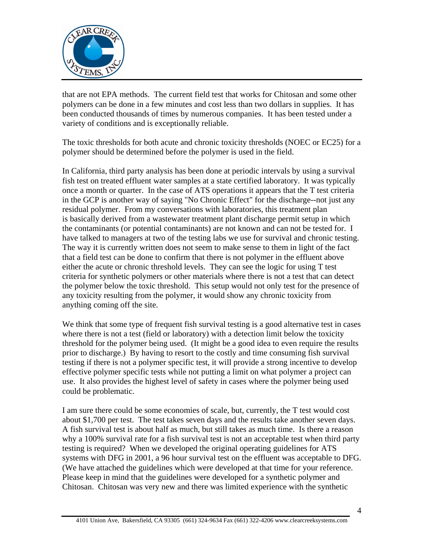

that are not EPA methods. The current field test that works for Chitosan and some other polymers can be done in a few minutes and cost less than two dollars in supplies. It has been conducted thousands of times by numerous companies. It has been tested under a variety of conditions and is exceptionally reliable.

The toxic thresholds for both acute and chronic toxicity thresholds (NOEC or EC25) for a polymer should be determined before the polymer is used in the field.

In California, third party analysis has been done at periodic intervals by using a survival fish test on treated effluent water samples at a state certified laboratory. It was typically once a month or quarter. In the case of ATS operations it appears that the T test criteria in the GCP is another way of saying "No Chronic Effect" for the discharge--not just any residual polymer. From my conversations with laboratories, this treatment plan is basically derived from a wastewater treatment plant discharge permit setup in which the contaminants (or potential contaminants) are not known and can not be tested for. I have talked to managers at two of the testing labs we use for survival and chronic testing. The way it is currently written does not seem to make sense to them in light of the fact that a field test can be done to confirm that there is not polymer in the effluent above either the acute or chronic threshold levels. They can see the logic for using T test criteria for synthetic polymers or other materials where there is not a test that can detect the polymer below the toxic threshold. This setup would not only test for the presence of any toxicity resulting from the polymer, it would show any chronic toxicity from anything coming off the site.

We think that some type of frequent fish survival testing is a good alternative test in cases where there is not a test (field or laboratory) with a detection limit below the toxicity threshold for the polymer being used. (It might be a good idea to even require the results prior to discharge.) By having to resort to the costly and time consuming fish survival testing if there is not a polymer specific test, it will provide a strong incentive to develop effective polymer specific tests while not putting a limit on what polymer a project can use. It also provides the highest level of safety in cases where the polymer being used could be problematic.

I am sure there could be some economies of scale, but, currently, the T test would cost about \$1,700 per test. The test takes seven days and the results take another seven days. A fish survival test is about half as much, but still takes as much time. Is there a reason why a 100% survival rate for a fish survival test is not an acceptable test when third party testing is required? When we developed the original operating guidelines for ATS systems with DFG in 2001, a 96 hour survival test on the effluent was acceptable to DFG. (We have attached the guidelines which were developed at that time for your reference. Please keep in mind that the guidelines were developed for a synthetic polymer and Chitosan. Chitosan was very new and there was limited experience with the synthetic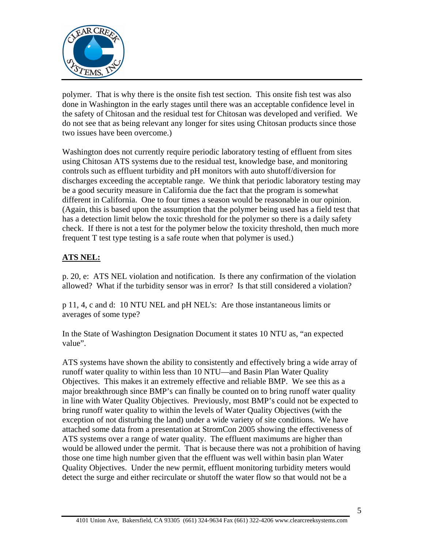

polymer. That is why there is the onsite fish test section. This onsite fish test was also done in Washington in the early stages until there was an acceptable confidence level in the safety of Chitosan and the residual test for Chitosan was developed and verified. We do not see that as being relevant any longer for sites using Chitosan products since those two issues have been overcome.)

Washington does not currently require periodic laboratory testing of effluent from sites using Chitosan ATS systems due to the residual test, knowledge base, and monitoring controls such as effluent turbidity and pH monitors with auto shutoff/diversion for discharges exceeding the acceptable range. We think that periodic laboratory testing may be a good security measure in California due the fact that the program is somewhat different in California. One to four times a season would be reasonable in our opinion. (Again, this is based upon the assumption that the polymer being used has a field test that has a detection limit below the toxic threshold for the polymer so there is a daily safety check. If there is not a test for the polymer below the toxicity threshold, then much more frequent T test type testing is a safe route when that polymer is used.)

## **ATS NEL:**

p. 20, e: ATS NEL violation and notification. Is there any confirmation of the violation allowed? What if the turbidity sensor was in error? Is that still considered a violation?

p 11, 4, c and d: 10 NTU NEL and pH NEL's: Are those instantaneous limits or averages of some type?

In the State of Washington Designation Document it states 10 NTU as, "an expected value".

ATS systems have shown the ability to consistently and effectively bring a wide array of runoff water quality to within less than 10 NTU—and Basin Plan Water Quality Objectives. This makes it an extremely effective and reliable BMP. We see this as a major breakthrough since BMP's can finally be counted on to bring runoff water quality in line with Water Quality Objectives. Previously, most BMP's could not be expected to bring runoff water quality to within the levels of Water Quality Objectives (with the exception of not disturbing the land) under a wide variety of site conditions. We have attached some data from a presentation at StromCon 2005 showing the effectiveness of ATS systems over a range of water quality. The effluent maximums are higher than would be allowed under the permit. That is because there was not a prohibition of having those one time high number given that the effluent was well within basin plan Water Quality Objectives. Under the new permit, effluent monitoring turbidity meters would detect the surge and either recirculate or shutoff the water flow so that would not be a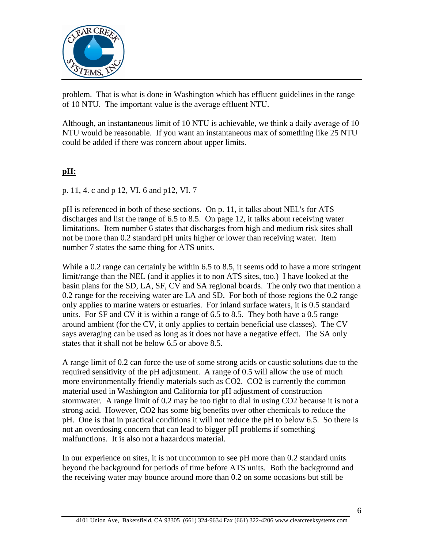

problem. That is what is done in Washington which has effluent guidelines in the range of 10 NTU. The important value is the average effluent NTU.

Although, an instantaneous limit of 10 NTU is achievable, we think a daily average of 10 NTU would be reasonable. If you want an instantaneous max of something like 25 NTU could be added if there was concern about upper limits.

# **pH:**

p. 11, 4. c and p 12, VI. 6 and p12, VI. 7

pH is referenced in both of these sections. On p. 11, it talks about NEL's for ATS discharges and list the range of 6.5 to 8.5. On page 12, it talks about receiving water limitations. Item number 6 states that discharges from high and medium risk sites shall not be more than 0.2 standard pH units higher or lower than receiving water. Item number 7 states the same thing for ATS units.

While a 0.2 range can certainly be within 6.5 to 8.5, it seems odd to have a more stringent limit/range than the NEL (and it applies it to non ATS sites, too.) I have looked at the basin plans for the SD, LA, SF, CV and SA regional boards. The only two that mention a 0.2 range for the receiving water are LA and SD. For both of those regions the 0.2 range only applies to marine waters or estuaries. For inland surface waters, it is 0.5 standard units. For SF and CV it is within a range of 6.5 to 8.5. They both have a 0.5 range around ambient (for the CV, it only applies to certain beneficial use classes). The CV says averaging can be used as long as it does not have a negative effect. The SA only states that it shall not be below 6.5 or above 8.5.

A range limit of 0.2 can force the use of some strong acids or caustic solutions due to the required sensitivity of the pH adjustment. A range of 0.5 will allow the use of much more environmentally friendly materials such as CO2. CO2 is currently the common material used in Washington and California for pH adjustment of construction stormwater. A range limit of 0.2 may be too tight to dial in using CO2 because it is not a strong acid. However, CO2 has some big benefits over other chemicals to reduce the pH. One is that in practical conditions it will not reduce the pH to below 6.5. So there is not an overdosing concern that can lead to bigger pH problems if something malfunctions. It is also not a hazardous material.

In our experience on sites, it is not uncommon to see pH more than 0.2 standard units beyond the background for periods of time before ATS units. Both the background and the receiving water may bounce around more than 0.2 on some occasions but still be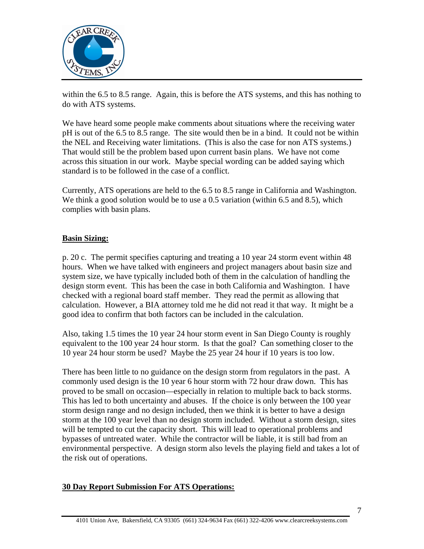

within the 6.5 to 8.5 range. Again, this is before the ATS systems, and this has nothing to do with ATS systems.

We have heard some people make comments about situations where the receiving water pH is out of the 6.5 to 8.5 range. The site would then be in a bind. It could not be within the NEL and Receiving water limitations. (This is also the case for non ATS systems.) That would still be the problem based upon current basin plans. We have not come across this situation in our work. Maybe special wording can be added saying which standard is to be followed in the case of a conflict.

Currently, ATS operations are held to the 6.5 to 8.5 range in California and Washington. We think a good solution would be to use a 0.5 variation (within 6.5 and 8.5), which complies with basin plans.

### **Basin Sizing:**

p. 20 c. The permit specifies capturing and treating a 10 year 24 storm event within 48 hours. When we have talked with engineers and project managers about basin size and system size, we have typically included both of them in the calculation of handling the design storm event. This has been the case in both California and Washington. I have checked with a regional board staff member. They read the permit as allowing that calculation. However, a BIA attorney told me he did not read it that way. It might be a good idea to confirm that both factors can be included in the calculation.

Also, taking 1.5 times the 10 year 24 hour storm event in San Diego County is roughly equivalent to the 100 year 24 hour storm. Is that the goal? Can something closer to the 10 year 24 hour storm be used? Maybe the 25 year 24 hour if 10 years is too low.

There has been little to no guidance on the design storm from regulators in the past. A commonly used design is the 10 year 6 hour storm with 72 hour draw down. This has proved to be small on occasion—especially in relation to multiple back to back storms. This has led to both uncertainty and abuses. If the choice is only between the 100 year storm design range and no design included, then we think it is better to have a design storm at the 100 year level than no design storm included. Without a storm design, sites will be tempted to cut the capacity short. This will lead to operational problems and bypasses of untreated water. While the contractor will be liable, it is still bad from an environmental perspective. A design storm also levels the playing field and takes a lot of the risk out of operations.

#### **30 Day Report Submission For ATS Operations:**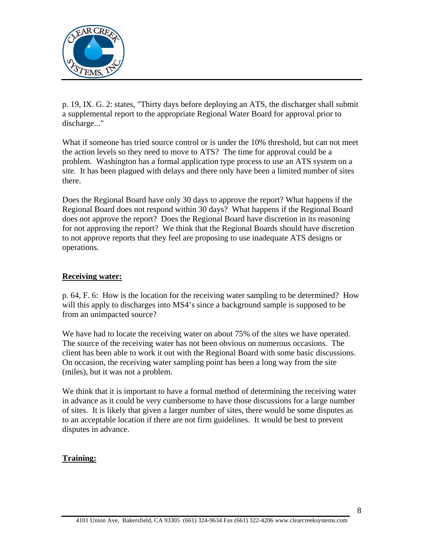

p. 19, IX. G. 2: states, "Thirty days before deploying an ATS, the discharger shall submit a supplemental report to the appropriate Regional Water Board for approval prior to discharge..."

What if someone has tried source control or is under the 10% threshold, but can not meet the action levels so they need to move to ATS? The time for approval could be a problem. Washington has a formal application type process to use an ATS system on a site. It has been plagued with delays and there only have been a limited number of sites there.

Does the Regional Board have only 30 days to approve the report? What happens if the Regional Board does not respond within 30 days? What happens if the Regional Board does not approve the report? Does the Regional Board have discretion in its reasoning for not approving the report? We think that the Regional Boards should have discretion to not approve reports that they feel are proposing to use inadequate ATS designs or operations.

#### **Receiving water:**

p. 64, F. 6: How is the location for the receiving water sampling to be determined? How will this apply to discharges into MS4's since a background sample is supposed to be from an unimpacted source?

We have had to locate the receiving water on about 75% of the sites we have operated. The source of the receiving water has not been obvious on numerous occasions. The client has been able to work it out with the Regional Board with some basic discussions. On occasion, the receiving water sampling point has been a long way from the site (miles), but it was not a problem.

We think that it is important to have a formal method of determining the receiving water in advance as it could be very cumbersome to have those discussions for a large number of sites. It is likely that given a larger number of sites, there would be some disputes as to an acceptable location if there are not firm guidelines. It would be best to prevent disputes in advance.

#### **Training:**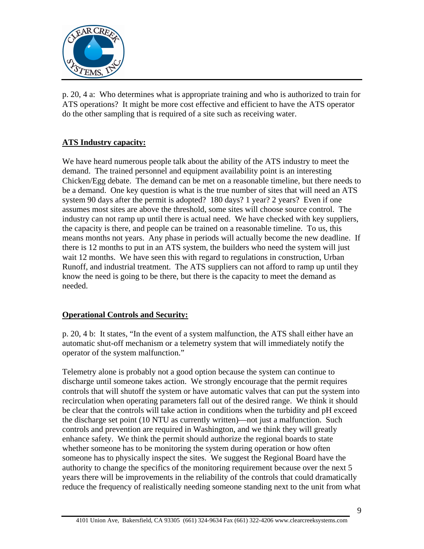

p. 20, 4 a: Who determines what is appropriate training and who is authorized to train for ATS operations? It might be more cost effective and efficient to have the ATS operator do the other sampling that is required of a site such as receiving water.

### **ATS Industry capacity:**

We have heard numerous people talk about the ability of the ATS industry to meet the demand. The trained personnel and equipment availability point is an interesting Chicken/Egg debate. The demand can be met on a reasonable timeline, but there needs to be a demand. One key question is what is the true number of sites that will need an ATS system 90 days after the permit is adopted? 180 days? 1 year? 2 years? Even if one assumes most sites are above the threshold, some sites will choose source control. The industry can not ramp up until there is actual need. We have checked with key suppliers, the capacity is there, and people can be trained on a reasonable timeline. To us, this means months not years. Any phase in periods will actually become the new deadline. If there is 12 months to put in an ATS system, the builders who need the system will just wait 12 months. We have seen this with regard to regulations in construction, Urban Runoff, and industrial treatment. The ATS suppliers can not afford to ramp up until they know the need is going to be there, but there is the capacity to meet the demand as needed.

### **Operational Controls and Security:**

p. 20, 4 b: It states, "In the event of a system malfunction, the ATS shall either have an automatic shut-off mechanism or a telemetry system that will immediately notify the operator of the system malfunction."

Telemetry alone is probably not a good option because the system can continue to discharge until someone takes action. We strongly encourage that the permit requires controls that will shutoff the system or have automatic valves that can put the system into recirculation when operating parameters fall out of the desired range. We think it should be clear that the controls will take action in conditions when the turbidity and pH exceed the discharge set point (10 NTU as currently written)—not just a malfunction. Such controls and prevention are required in Washington, and we think they will greatly enhance safety. We think the permit should authorize the regional boards to state whether someone has to be monitoring the system during operation or how often someone has to physically inspect the sites. We suggest the Regional Board have the authority to change the specifics of the monitoring requirement because over the next 5 years there will be improvements in the reliability of the controls that could dramatically reduce the frequency of realistically needing someone standing next to the unit from what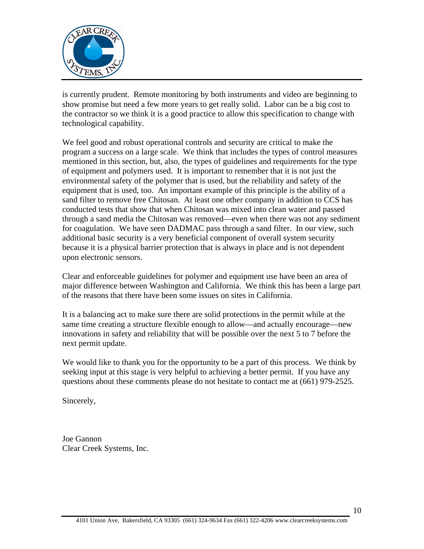

is currently prudent. Remote monitoring by both instruments and video are beginning to show promise but need a few more years to get really solid. Labor can be a big cost to the contractor so we think it is a good practice to allow this specification to change with technological capability.

We feel good and robust operational controls and security are critical to make the program a success on a large scale. We think that includes the types of control measures mentioned in this section, but, also, the types of guidelines and requirements for the type of equipment and polymers used. It is important to remember that it is not just the environmental safety of the polymer that is used, but the reliability and safety of the equipment that is used, too. An important example of this principle is the ability of a sand filter to remove free Chitosan. At least one other company in addition to CCS has conducted tests that show that when Chitosan was mixed into clean water and passed through a sand media the Chitosan was removed—even when there was not any sediment for coagulation. We have seen DADMAC pass through a sand filter. In our view, such additional basic security is a very beneficial component of overall system security because it is a physical barrier protection that is always in place and is not dependent upon electronic sensors.

Clear and enforceable guidelines for polymer and equipment use have been an area of major difference between Washington and California. We think this has been a large part of the reasons that there have been some issues on sites in California.

It is a balancing act to make sure there are solid protections in the permit while at the same time creating a structure flexible enough to allow—and actually encourage—new innovations in safety and reliability that will be possible over the next 5 to 7 before the next permit update.

We would like to thank you for the opportunity to be a part of this process. We think by seeking input at this stage is very helpful to achieving a better permit. If you have any questions about these comments please do not hesitate to contact me at (661) 979-2525.

Sincerely,

Joe Gannon Clear Creek Systems, Inc.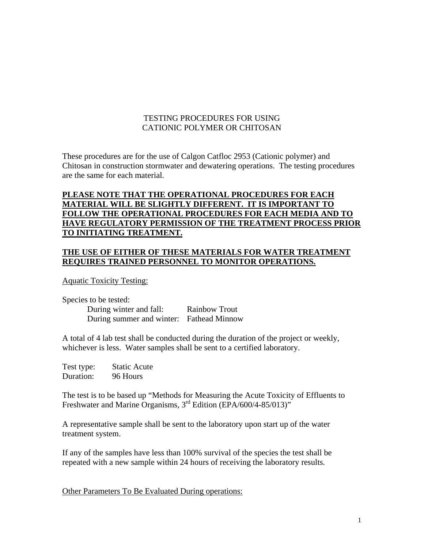#### TESTING PROCEDURES FOR USING CATIONIC POLYMER OR CHITOSAN

These procedures are for the use of Calgon Catfloc 2953 (Cationic polymer) and Chitosan in construction stormwater and dewatering operations. The testing procedures are the same for each material.

#### **PLEASE NOTE THAT THE OPERATIONAL PROCEDURES FOR EACH MATERIAL WILL BE SLIGHTLY DIFFERENT. IT IS IMPORTANT TO FOLLOW THE OPERATIONAL PROCEDURES FOR EACH MEDIA AND TO HAVE REGULATORY PERMISSION OF THE TREATMENT PROCESS PRIOR TO INITIATING TREATMENT.**

#### **THE USE OF EITHER OF THESE MATERIALS FOR WATER TREATMENT REQUIRES TRAINED PERSONNEL TO MONITOR OPERATIONS.**

Aquatic Toxicity Testing:

Species to be tested: During winter and fall: Rainbow Trout During summer and winter: Fathead Minnow

A total of 4 lab test shall be conducted during the duration of the project or weekly, whichever is less. Water samples shall be sent to a certified laboratory.

| Test type: | <b>Static Acute</b> |
|------------|---------------------|
| Duration:  | 96 Hours            |

The test is to be based up "Methods for Measuring the Acute Toxicity of Effluents to Freshwater and Marine Organisms, 3<sup>rd</sup> Edition (EPA/600/4-85/013)<sup>"</sup>

A representative sample shall be sent to the laboratory upon start up of the water treatment system.

If any of the samples have less than 100% survival of the species the test shall be repeated with a new sample within 24 hours of receiving the laboratory results.

Other Parameters To Be Evaluated During operations: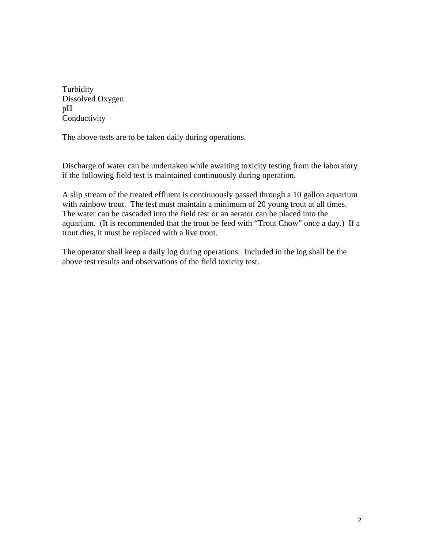Turbidity Dissolved Oxygen pH Conductivity

The above tests are to be taken daily during operations.

Discharge of water can be undertaken while awaiting toxicity testing from the laboratory if the following field test is maintained continuously during operation.

A slip stream of the treated effluent is continuously passed through a 10 gallon aquarium with rainbow trout. The test must maintain a minimum of 20 young trout at all times. The water can be cascaded into the field test or an aerator can be placed into the aquarium. (It is recommended that the trout be feed with "Trout Chow" once a day.) If a trout dies, it must be replaced with a live trout.

The operator shall keep a daily log during operations. Included in the log shall be the above test results and observations of the field toxicity test.